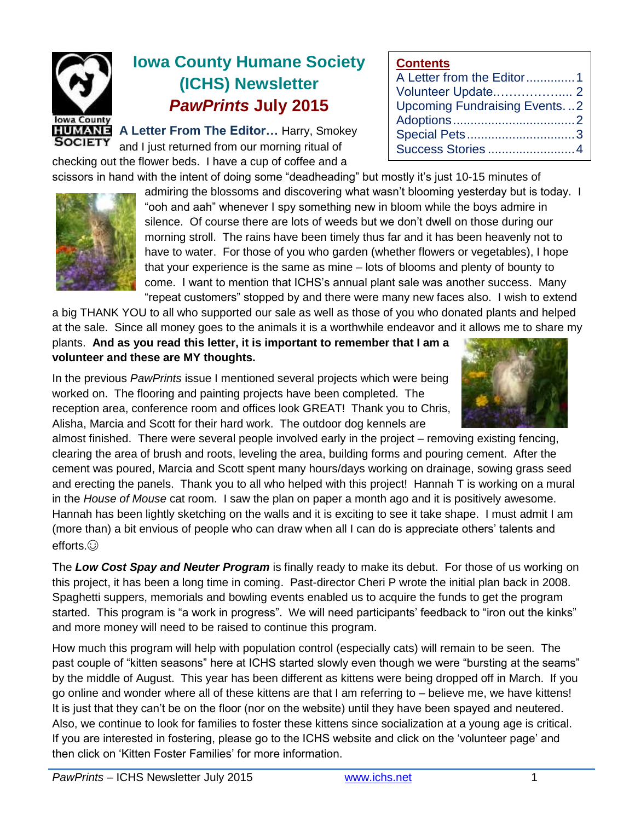

# **Iowa County Humane Society (ICHS) Newsletter** *PawPrints* **July 2015**

**A Letter From The Editor…** Harry, Smokey and I just returned from our morning ritual of checking out the flower beds. I have a cup of coffee and a

scissors in hand with the intent of doing some "deadheading" but mostly it's just 10-15 minutes of



admiring the blossoms and discovering what wasn't blooming yesterday but is today. I "ooh and aah" whenever I spy something new in bloom while the boys admire in silence. Of course there are lots of weeds but we don't dwell on those during our morning stroll. The rains have been timely thus far and it has been heavenly not to have to water. For those of you who garden (whether flowers or vegetables), I hope that your experience is the same as mine – lots of blooms and plenty of bounty to come. I want to mention that ICHS's annual plant sale was another success. Many "repeat customers" stopped by and there were many new faces also. I wish to extend

**Contents**

A Letter from the Editor..............1 Volunteer Update.…………….... 2 Upcoming Fundraising Events. ..2 Adoptions...................................2 Special Pets...............................3 Success Stories .........................4

a big THANK YOU to all who supported our sale as well as those of you who donated plants and helped at the sale. Since all money goes to the animals it is a worthwhile endeavor and it allows me to share my

plants. **And as you read this letter, it is important to remember that I am a volunteer and these are MY thoughts.**

In the previous *PawPrints* issue I mentioned several projects which were being worked on. The flooring and painting projects have been completed. The reception area, conference room and offices look GREAT! Thank you to Chris, Alisha, Marcia and Scott for their hard work. The outdoor dog kennels are

almost finished. There were several people involved early in the project – removing existing fencing, clearing the area of brush and roots, leveling the area, building forms and pouring cement. After the cement was poured, Marcia and Scott spent many hours/days working on drainage, sowing grass seed and erecting the panels. Thank you to all who helped with this project! Hannah T is working on a mural in the *House of Mouse* cat room. I saw the plan on paper a month ago and it is positively awesome. Hannah has been lightly sketching on the walls and it is exciting to see it take shape. I must admit I am (more than) a bit envious of people who can draw when all I can do is appreciate others' talents and efforts.

The *Low Cost Spay and Neuter Program* is finally ready to make its debut. For those of us working on this project, it has been a long time in coming. Past-director Cheri P wrote the initial plan back in 2008. Spaghetti suppers, memorials and bowling events enabled us to acquire the funds to get the program started. This program is "a work in progress". We will need participants' feedback to "iron out the kinks" and more money will need to be raised to continue this program.

How much this program will help with population control (especially cats) will remain to be seen. The past couple of "kitten seasons" here at ICHS started slowly even though we were "bursting at the seams" by the middle of August. This year has been different as kittens were being dropped off in March. If you go online and wonder where all of these kittens are that I am referring to – believe me, we have kittens! It is just that they can't be on the floor (nor on the website) until they have been spayed and neutered. Also, we continue to look for families to foster these kittens since socialization at a young age is critical. If you are interested in fostering, please go to the ICHS website and click on the 'volunteer page' and then click on 'Kitten Foster Families' for more information.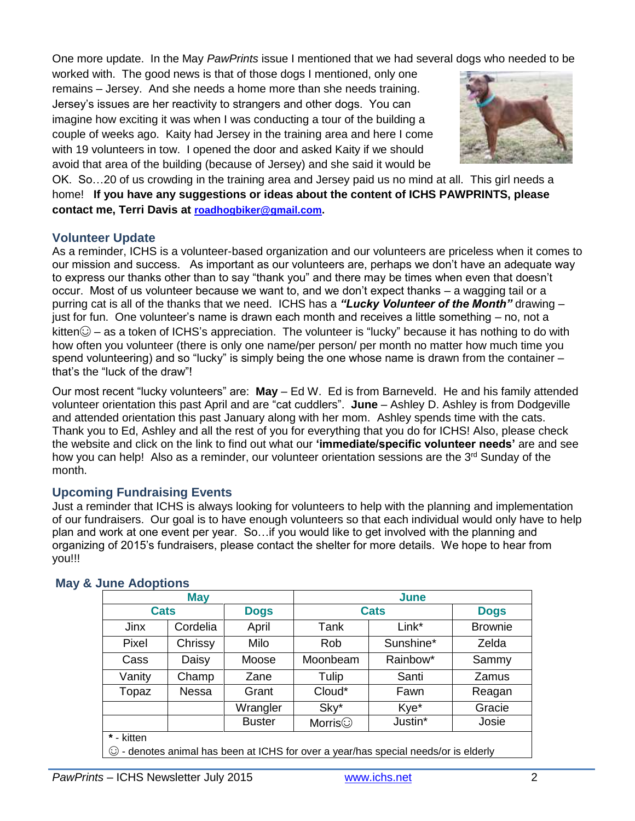One more update. In the May *PawPrints* issue I mentioned that we had several dogs who needed to be

worked with. The good news is that of those dogs I mentioned, only one remains – Jersey. And she needs a home more than she needs training. Jersey's issues are her reactivity to strangers and other dogs. You can imagine how exciting it was when I was conducting a tour of the building a couple of weeks ago. Kaity had Jersey in the training area and here I come with 19 volunteers in tow. I opened the door and asked Kaity if we should avoid that area of the building (because of Jersey) and she said it would be



OK. So…20 of us crowding in the training area and Jersey paid us no mind at all. This girl needs a home! **If you have any suggestions or ideas about the content of ICHS PAWPRINTS, please contact me, Terri Davis at [roadhogbiker@gmail.com.](mailto:roadhogbiker@gmail.com)**

### **Volunteer Update**

As a reminder, ICHS is a volunteer-based organization and our volunteers are priceless when it comes to our mission and success. As important as our volunteers are, perhaps we don't have an adequate way to express our thanks other than to say "thank you" and there may be times when even that doesn't occur. Most of us volunteer because we want to, and we don't expect thanks – a wagging tail or a purring cat is all of the thanks that we need. ICHS has a *"Lucky Volunteer of the Month"* drawing – just for fun. One volunteer's name is drawn each month and receives a little something – no, not a kitten $\odot$  – as a token of ICHS's appreciation. The volunteer is "lucky" because it has nothing to do with how often you volunteer (there is only one name/per person/ per month no matter how much time you spend volunteering) and so "lucky" is simply being the one whose name is drawn from the container – that's the "luck of the draw"!

Our most recent "lucky volunteers" are: **May** – Ed W. Ed is from Barneveld. He and his family attended volunteer orientation this past April and are "cat cuddlers". **June** – Ashley D. Ashley is from Dodgeville and attended orientation this past January along with her mom. Ashley spends time with the cats. Thank you to Ed, Ashley and all the rest of you for everything that you do for ICHS! Also, please check the website and click on the link to find out what our **'immediate/specific volunteer needs'** are and see how you can help! Also as a reminder, our volunteer orientation sessions are the  $3<sup>rd</sup>$  Sunday of the month.

#### **Upcoming Fundraising Events**

Just a reminder that ICHS is always looking for volunteers to help with the planning and implementation of our fundraisers. Our goal is to have enough volunteers so that each individual would only have to help plan and work at one event per year. So…if you would like to get involved with the planning and organizing of 2015's fundraisers, please contact the shelter for more details. We hope to hear from you!!!

| <b>May</b>                                                                          |          |               | June           |           |                |
|-------------------------------------------------------------------------------------|----------|---------------|----------------|-----------|----------------|
| <b>Cats</b>                                                                         |          | <b>Dogs</b>   | <b>Cats</b>    |           | <b>Dogs</b>    |
| Jinx                                                                                | Cordelia | April         | Tank           | Link*     | <b>Brownie</b> |
| Pixel                                                                               | Chrissy  | Milo          | Rob            | Sunshine* | Zelda          |
| Cass                                                                                | Daisy    | Moose         | Moonbeam       | Rainbow*  | Sammy          |
| Vanity                                                                              | Champ    | Zane          | Tulip          | Santi     | Zamus          |
| Topaz                                                                               | Nessa    | Grant         | Cloud*         | Fawn      | Reagan         |
|                                                                                     |          | Wrangler      | Sky*           | Kye*      | Gracie         |
|                                                                                     |          | <b>Buster</b> | Morris $\odot$ | Justin*   | Josie          |
| * - kitten                                                                          |          |               |                |           |                |
| © - denotes animal has been at ICHS for over a year/has special needs/or is elderly |          |               |                |           |                |

#### **May & June Adoptions**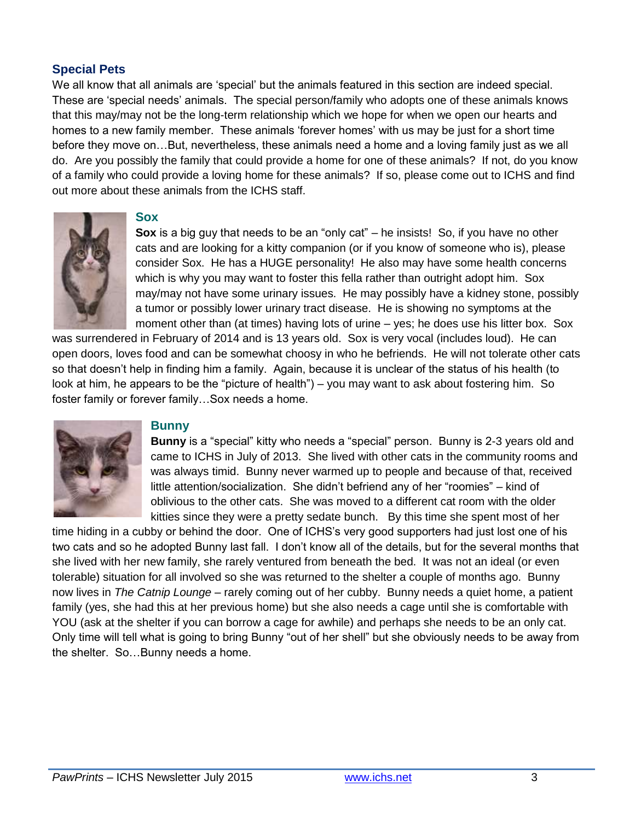#### **Special Pets**

We all know that all animals are 'special' but the animals featured in this section are indeed special. These are 'special needs' animals. The special person/family who adopts one of these animals knows that this may/may not be the long-term relationship which we hope for when we open our hearts and homes to a new family member. These animals 'forever homes' with us may be just for a short time before they move on…But, nevertheless, these animals need a home and a loving family just as we all do. Are you possibly the family that could provide a home for one of these animals? If not, do you know of a family who could provide a loving home for these animals? If so, please come out to ICHS and find out more about these animals from the ICHS staff.



#### **Sox**

**Sox** is a big guy that needs to be an "only cat" – he insists! So, if you have no other cats and are looking for a kitty companion (or if you know of someone who is), please consider Sox. He has a HUGE personality! He also may have some health concerns which is why you may want to foster this fella rather than outright adopt him. Sox may/may not have some urinary issues. He may possibly have a kidney stone, possibly a tumor or possibly lower urinary tract disease. He is showing no symptoms at the moment other than (at times) having lots of urine – yes; he does use his litter box. Sox

was surrendered in February of 2014 and is 13 years old. Sox is very vocal (includes loud). He can open doors, loves food and can be somewhat choosy in who he befriends. He will not tolerate other cats so that doesn't help in finding him a family. Again, because it is unclear of the status of his health (to look at him, he appears to be the "picture of health") – you may want to ask about fostering him. So foster family or forever family…Sox needs a home.



#### **Bunny**

**Bunny** is a "special" kitty who needs a "special" person. Bunny is 2-3 years old and came to ICHS in July of 2013. She lived with other cats in the community rooms and was always timid. Bunny never warmed up to people and because of that, received little attention/socialization. She didn't befriend any of her "roomies" – kind of oblivious to the other cats. She was moved to a different cat room with the older kitties since they were a pretty sedate bunch. By this time she spent most of her

time hiding in a cubby or behind the door. One of ICHS's very good supporters had just lost one of his two cats and so he adopted Bunny last fall. I don't know all of the details, but for the several months that she lived with her new family, she rarely ventured from beneath the bed. It was not an ideal (or even tolerable) situation for all involved so she was returned to the shelter a couple of months ago. Bunny now lives in *The Catnip Lounge –* rarely coming out of her cubby. Bunny needs a quiet home, a patient family (yes, she had this at her previous home) but she also needs a cage until she is comfortable with YOU (ask at the shelter if you can borrow a cage for awhile) and perhaps she needs to be an only cat. Only time will tell what is going to bring Bunny "out of her shell" but she obviously needs to be away from the shelter. So…Bunny needs a home.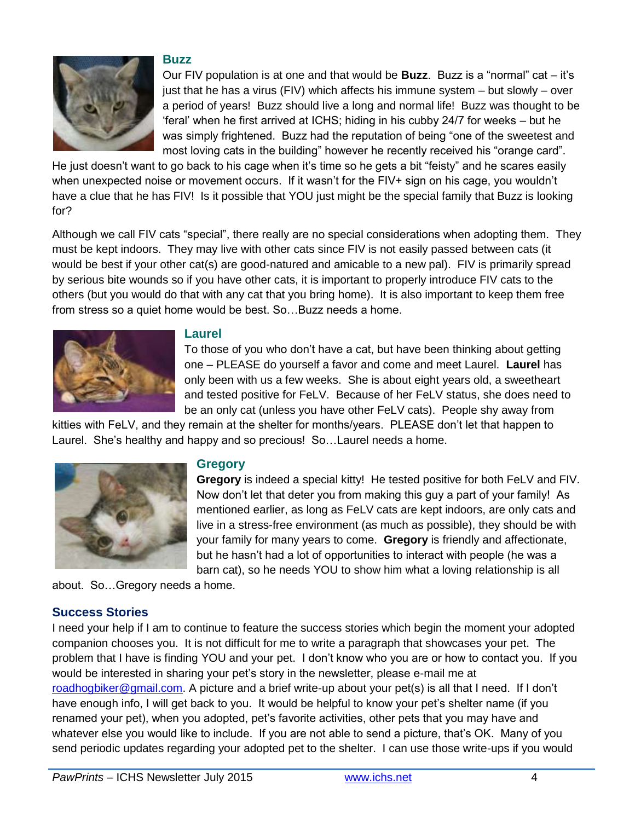

#### **Buzz**

Our FIV population is at one and that would be **Buzz**. Buzz is a "normal" cat – it's just that he has a virus (FIV) which affects his immune system – but slowly – over a period of years! Buzz should live a long and normal life! Buzz was thought to be 'feral' when he first arrived at ICHS; hiding in his cubby 24/7 for weeks – but he was simply frightened. Buzz had the reputation of being "one of the sweetest and most loving cats in the building" however he recently received his "orange card".

He just doesn't want to go back to his cage when it's time so he gets a bit "feisty" and he scares easily when unexpected noise or movement occurs. If it wasn't for the FIV+ sign on his cage, you wouldn't have a clue that he has FIV! Is it possible that YOU just might be the special family that Buzz is looking for?

Although we call FIV cats "special", there really are no special considerations when adopting them. They must be kept indoors. They may live with other cats since FIV is not easily passed between cats (it would be best if your other cat(s) are good-natured and amicable to a new pal). FIV is primarily spread by serious bite wounds so if you have other cats, it is important to properly introduce FIV cats to the others (but you would do that with any cat that you bring home). It is also important to keep them free from stress so a quiet home would be best. So…Buzz needs a home.



#### **Laurel**

To those of you who don't have a cat, but have been thinking about getting one – PLEASE do yourself a favor and come and meet Laurel. **Laurel** has only been with us a few weeks. She is about eight years old, a sweetheart and tested positive for FeLV. Because of her FeLV status, she does need to be an only cat (unless you have other FeLV cats). People shy away from

kitties with FeLV, and they remain at the shelter for months/years. PLEASE don't let that happen to Laurel. She's healthy and happy and so precious! So…Laurel needs a home.



#### **Gregory**

**Gregory** is indeed a special kitty! He tested positive for both FeLV and FIV. Now don't let that deter you from making this guy a part of your family! As mentioned earlier, as long as FeLV cats are kept indoors, are only cats and live in a stress-free environment (as much as possible), they should be with your family for many years to come. **Gregory** is friendly and affectionate, but he hasn't had a lot of opportunities to interact with people (he was a barn cat), so he needs YOU to show him what a loving relationship is all

about. So…Gregory needs a home.

## **Success Stories**

I need your help if I am to continue to feature the success stories which begin the moment your adopted companion chooses you. It is not difficult for me to write a paragraph that showcases your pet. The problem that I have is finding YOU and your pet. I don't know who you are or how to contact you. If you would be interested in sharing your pet's story in the newsletter, please e-mail me at [roadhogbiker@gmail.com.](mailto:roadhogbiker@gmail.com) A picture and a brief write-up about your pet(s) is all that I need. If I don't have enough info, I will get back to you. It would be helpful to know your pet's shelter name (if you renamed your pet), when you adopted, pet's favorite activities, other pets that you may have and whatever else you would like to include. If you are not able to send a picture, that's OK. Many of you send periodic updates regarding your adopted pet to the shelter. I can use those write-ups if you would